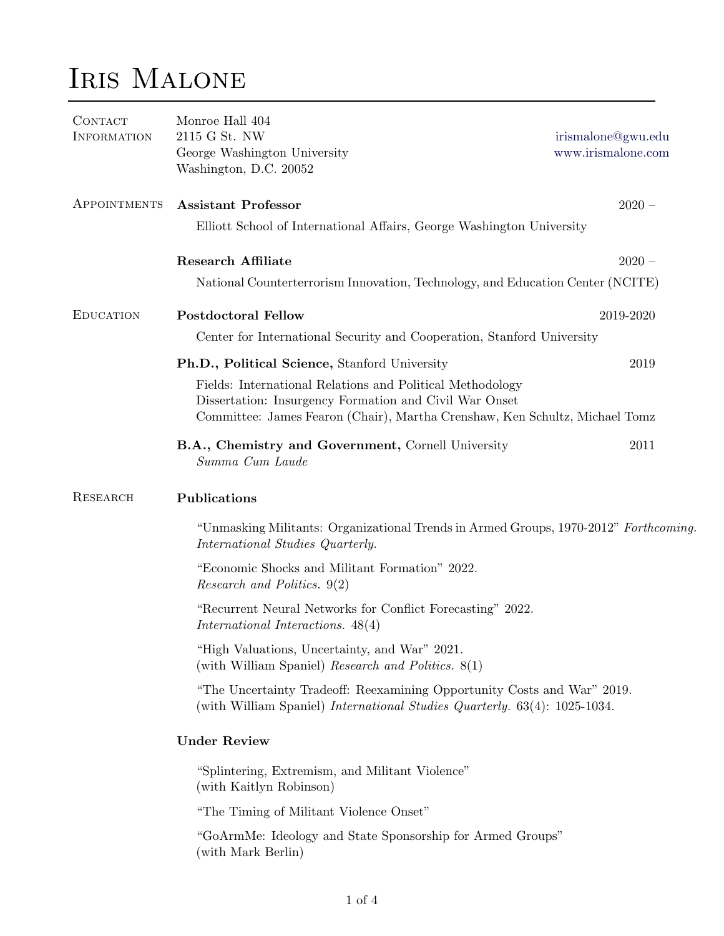## Iris Malone

| <b>CONTACT</b><br><b>INFORMATION</b> | Monroe Hall 404<br>2115 G St. NW<br>George Washington University<br>Washington, D.C. 20052                                                                                                         | irismalone@gwu.edu<br>www.irismalone.com |  |  |
|--------------------------------------|----------------------------------------------------------------------------------------------------------------------------------------------------------------------------------------------------|------------------------------------------|--|--|
| APPOINTMENTS                         | <b>Assistant Professor</b>                                                                                                                                                                         | $2020 -$                                 |  |  |
|                                      | Elliott School of International Affairs, George Washington University                                                                                                                              |                                          |  |  |
|                                      | <b>Research Affiliate</b>                                                                                                                                                                          | $2020 -$                                 |  |  |
|                                      | National Counterterrorism Innovation, Technology, and Education Center (NCITE)                                                                                                                     |                                          |  |  |
| <b>EDUCATION</b>                     | <b>Postdoctoral Fellow</b>                                                                                                                                                                         | 2019-2020                                |  |  |
|                                      | Center for International Security and Cooperation, Stanford University                                                                                                                             |                                          |  |  |
|                                      | Ph.D., Political Science, Stanford University                                                                                                                                                      | 2019                                     |  |  |
|                                      | Fields: International Relations and Political Methodology<br>Dissertation: Insurgency Formation and Civil War Onset<br>Committee: James Fearon (Chair), Martha Crenshaw, Ken Schultz, Michael Tomz |                                          |  |  |
|                                      | B.A., Chemistry and Government, Cornell University<br>Summa Cum Laude                                                                                                                              | 2011                                     |  |  |
| <b>RESEARCH</b>                      | Publications                                                                                                                                                                                       |                                          |  |  |
|                                      | "Unmasking Militants: Organizational Trends in Armed Groups, 1970-2012" Forthcoming.<br>International Studies Quarterly.                                                                           |                                          |  |  |
|                                      | "Economic Shocks and Militant Formation" 2022.<br>Research and Politics. 9(2)                                                                                                                      |                                          |  |  |
|                                      | "Recurrent Neural Networks for Conflict Forecasting" 2022.<br>International Interactions. 48(4)                                                                                                    |                                          |  |  |
|                                      | "High Valuations, Uncertainty, and War" 2021.<br>(with William Spaniel) Research and Politics. 8(1)                                                                                                |                                          |  |  |
|                                      | "The Uncertainty Tradeoff: Reexamining Opportunity Costs and War" 2019.<br>(with William Spaniel) <i>International Studies Quarterly.</i> 63(4): 1025-1034.                                        |                                          |  |  |
|                                      | <b>Under Review</b>                                                                                                                                                                                |                                          |  |  |
|                                      | "Splintering, Extremism, and Militant Violence"<br>(with Kaitlyn Robinson)                                                                                                                         |                                          |  |  |
|                                      | "The Timing of Militant Violence Onset"                                                                                                                                                            |                                          |  |  |
|                                      | "GoArmMe: Ideology and State Sponsorship for Armed Groups"<br>(with Mark Berlin)                                                                                                                   |                                          |  |  |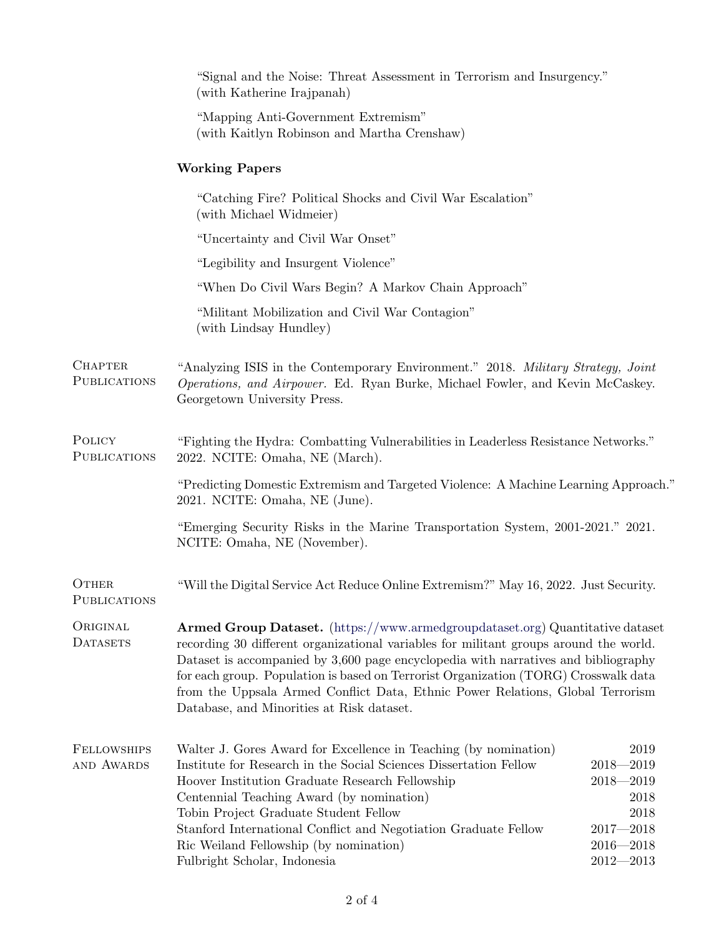|                                       | "Signal and the Noise: Threat Assessment in Terrorism and Insurgency."<br>(with Katherine Irajpanah)                                                                                                                                                                                                                                                                                                                                                                                      |                                                                                                           |  |  |
|---------------------------------------|-------------------------------------------------------------------------------------------------------------------------------------------------------------------------------------------------------------------------------------------------------------------------------------------------------------------------------------------------------------------------------------------------------------------------------------------------------------------------------------------|-----------------------------------------------------------------------------------------------------------|--|--|
|                                       | "Mapping Anti-Government Extremism"<br>(with Kaitlyn Robinson and Martha Crenshaw)                                                                                                                                                                                                                                                                                                                                                                                                        |                                                                                                           |  |  |
|                                       | <b>Working Papers</b>                                                                                                                                                                                                                                                                                                                                                                                                                                                                     |                                                                                                           |  |  |
|                                       | "Catching Fire? Political Shocks and Civil War Escalation"<br>(with Michael Widmeier)                                                                                                                                                                                                                                                                                                                                                                                                     |                                                                                                           |  |  |
|                                       | "Uncertainty and Civil War Onset"                                                                                                                                                                                                                                                                                                                                                                                                                                                         |                                                                                                           |  |  |
|                                       | "Legibility and Insurgent Violence"                                                                                                                                                                                                                                                                                                                                                                                                                                                       |                                                                                                           |  |  |
|                                       | "When Do Civil Wars Begin? A Markov Chain Approach"                                                                                                                                                                                                                                                                                                                                                                                                                                       |                                                                                                           |  |  |
|                                       | "Militant Mobilization and Civil War Contagion"<br>(with Lindsay Hundley)                                                                                                                                                                                                                                                                                                                                                                                                                 |                                                                                                           |  |  |
| <b>CHAPTER</b><br><b>PUBLICATIONS</b> | "Analyzing ISIS in the Contemporary Environment." 2018. Military Strategy, Joint<br>Operations, and Airpower. Ed. Ryan Burke, Michael Fowler, and Kevin McCaskey.<br>Georgetown University Press.                                                                                                                                                                                                                                                                                         |                                                                                                           |  |  |
| POLICY<br><b>PUBLICATIONS</b>         | "Fighting the Hydra: Combatting Vulnerabilities in Leaderless Resistance Networks."<br>2022. NCITE: Omaha, NE (March).                                                                                                                                                                                                                                                                                                                                                                    |                                                                                                           |  |  |
|                                       | "Predicting Domestic Extremism and Targeted Violence: A Machine Learning Approach."<br>2021. NCITE: Omaha, NE (June).                                                                                                                                                                                                                                                                                                                                                                     |                                                                                                           |  |  |
|                                       | "Emerging Security Risks in the Marine Transportation System, 2001-2021." 2021.<br>NCITE: Omaha, NE (November).                                                                                                                                                                                                                                                                                                                                                                           |                                                                                                           |  |  |
| OTHER<br>PUBLICATIONS                 | "Will the Digital Service Act Reduce Online Extremism?" May 16, 2022. Just Security.                                                                                                                                                                                                                                                                                                                                                                                                      |                                                                                                           |  |  |
| ORIGINAL<br><b>DATASETS</b>           | <b>Armed Group Dataset.</b> (https://www.armedgroupdataset.org) Quantitative dataset<br>recording 30 different organizational variables for militant groups around the world.<br>Dataset is accompanied by 3,600 page encyclopedia with narratives and bibliography<br>for each group. Population is based on Terrorist Organization (TORG) Crosswalk data<br>from the Uppsala Armed Conflict Data, Ethnic Power Relations, Global Terrorism<br>Database, and Minorities at Risk dataset. |                                                                                                           |  |  |
| <b>FELLOWSHIPS</b><br>AND AWARDS      | Walter J. Gores Award for Excellence in Teaching (by nomination)<br>Institute for Research in the Social Sciences Dissertation Fellow<br>Hoover Institution Graduate Research Fellowship<br>Centennial Teaching Award (by nomination)<br>Tobin Project Graduate Student Fellow<br>Stanford International Conflict and Negotiation Graduate Fellow<br>Ric Weiland Fellowship (by nomination)<br>Fulbright Scholar, Indonesia                                                               | 2019<br>$2018 - 2019$<br>$2018 - 2019$<br>2018<br>2018<br>$2017 - 2018$<br>$2016 - 2018$<br>$2012 - 2013$ |  |  |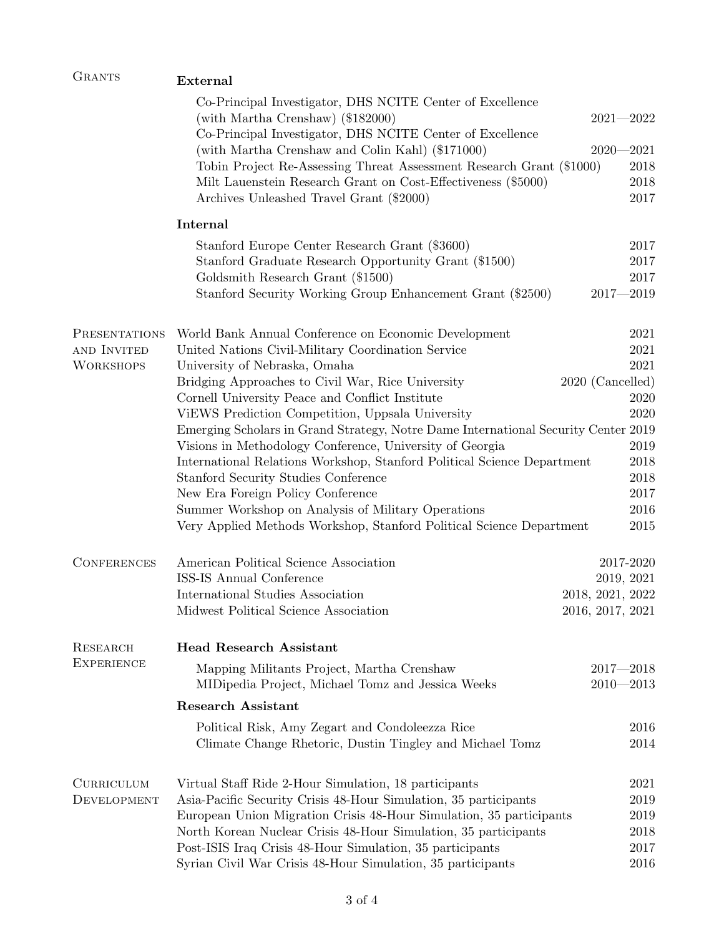| <b>GRANTS</b>                    | <b>External</b>                                                                                                                                                                                                 |                                |            |  |  |
|----------------------------------|-----------------------------------------------------------------------------------------------------------------------------------------------------------------------------------------------------------------|--------------------------------|------------|--|--|
|                                  | Co-Principal Investigator, DHS NCITE Center of Excellence<br>(with Martha Crenshaw) (\$182000)<br>Co-Principal Investigator, DHS NCITE Center of Excellence<br>(with Martha Crenshaw and Colin Kahl) (\$171000) | $2021 - 2022$<br>$2020 - 2021$ |            |  |  |
|                                  | Tobin Project Re-Assessing Threat Assessment Research Grant (\$1000)                                                                                                                                            |                                | 2018       |  |  |
|                                  | Milt Lauenstein Research Grant on Cost-Effectiveness (\$5000)                                                                                                                                                   |                                | 2018       |  |  |
|                                  | Archives Unleashed Travel Grant (\$2000)                                                                                                                                                                        |                                | 2017       |  |  |
|                                  | Internal                                                                                                                                                                                                        |                                |            |  |  |
|                                  | Stanford Europe Center Research Grant (\$3600)                                                                                                                                                                  |                                | 2017       |  |  |
|                                  | Stanford Graduate Research Opportunity Grant (\$1500)                                                                                                                                                           |                                | $2017\,$   |  |  |
|                                  | Goldsmith Research Grant (\$1500)                                                                                                                                                                               |                                | 2017       |  |  |
|                                  | Stanford Security Working Group Enhancement Grant (\$2500)                                                                                                                                                      | $2017 - 2019$                  |            |  |  |
| PRESENTATIONS                    | World Bank Annual Conference on Economic Development                                                                                                                                                            |                                | 2021       |  |  |
| AND INVITED                      | United Nations Civil-Military Coordination Service                                                                                                                                                              |                                | 2021       |  |  |
| <b>WORKSHOPS</b>                 | University of Nebraska, Omaha                                                                                                                                                                                   |                                | 2021       |  |  |
|                                  | Bridging Approaches to Civil War, Rice University                                                                                                                                                               | 2020 (Cancelled)               |            |  |  |
|                                  | Cornell University Peace and Conflict Institute                                                                                                                                                                 |                                | 2020       |  |  |
|                                  | ViEWS Prediction Competition, Uppsala University                                                                                                                                                                |                                | 2020       |  |  |
|                                  | Emerging Scholars in Grand Strategy, Notre Dame International Security Center 2019                                                                                                                              |                                |            |  |  |
|                                  | Visions in Methodology Conference, University of Georgia                                                                                                                                                        |                                | 2019       |  |  |
|                                  | International Relations Workshop, Stanford Political Science Department                                                                                                                                         |                                | 2018       |  |  |
|                                  | Stanford Security Studies Conference                                                                                                                                                                            |                                | 2018       |  |  |
|                                  | New Era Foreign Policy Conference                                                                                                                                                                               |                                | 2017       |  |  |
|                                  | Summer Workshop on Analysis of Military Operations                                                                                                                                                              |                                | 2016       |  |  |
|                                  | Very Applied Methods Workshop, Stanford Political Science Department                                                                                                                                            |                                | 2015       |  |  |
| <b>CONFERENCES</b>               | American Political Science Association                                                                                                                                                                          |                                | 2017-2020  |  |  |
|                                  | ISS-IS Annual Conference                                                                                                                                                                                        |                                | 2019, 2021 |  |  |
|                                  | International Studies Association                                                                                                                                                                               | 2018, 2021, 2022               |            |  |  |
|                                  | Midwest Political Science Association                                                                                                                                                                           | 2016, 2017, 2021               |            |  |  |
| <b>RESEARCH</b>                  | <b>Head Research Assistant</b>                                                                                                                                                                                  |                                |            |  |  |
| <b>EXPERIENCE</b>                | Mapping Militants Project, Martha Crenshaw<br>MIDipedia Project, Michael Tomz and Jessica Weeks                                                                                                                 | $2017 - 2018$<br>$2010 - 2013$ |            |  |  |
|                                  | <b>Research Assistant</b>                                                                                                                                                                                       |                                |            |  |  |
|                                  |                                                                                                                                                                                                                 |                                | 2016       |  |  |
|                                  | Political Risk, Amy Zegart and Condoleezza Rice<br>Climate Change Rhetoric, Dustin Tingley and Michael Tomz                                                                                                     |                                | 2014       |  |  |
|                                  |                                                                                                                                                                                                                 |                                | 2021       |  |  |
| <b>CURRICULUM</b><br>DEVELOPMENT | Virtual Staff Ride 2-Hour Simulation, 18 participants<br>Asia-Pacific Security Crisis 48-Hour Simulation, 35 participants                                                                                       |                                | 2019       |  |  |
|                                  | European Union Migration Crisis 48-Hour Simulation, 35 participants                                                                                                                                             |                                | 2019       |  |  |
|                                  | North Korean Nuclear Crisis 48-Hour Simulation, 35 participants                                                                                                                                                 |                                | 2018       |  |  |
|                                  | Post-ISIS Iraq Crisis 48-Hour Simulation, 35 participants                                                                                                                                                       |                                | 2017       |  |  |
|                                  | Syrian Civil War Crisis 48-Hour Simulation, 35 participants                                                                                                                                                     |                                | 2016       |  |  |